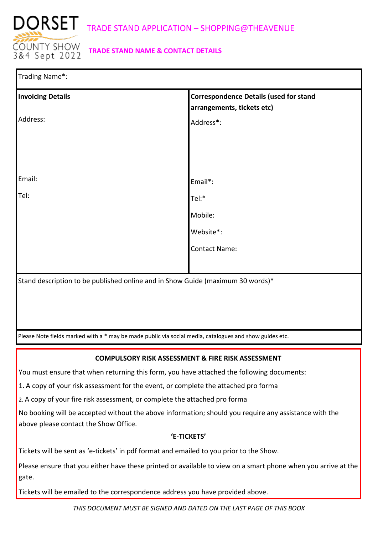

# **TRADE STAND NAME & CONTACT DETAILS**

| Trading Name*:           |                                                                                                         |  |  |
|--------------------------|---------------------------------------------------------------------------------------------------------|--|--|
| <b>Invoicing Details</b> | <b>Correspondence Details (used for stand</b><br>arrangements, tickets etc)                             |  |  |
| Address:                 | Address*:                                                                                               |  |  |
|                          |                                                                                                         |  |  |
|                          |                                                                                                         |  |  |
|                          |                                                                                                         |  |  |
| Email:                   | Email*:                                                                                                 |  |  |
| Tel:                     | Tel:*                                                                                                   |  |  |
|                          | Mobile:                                                                                                 |  |  |
|                          | Website*:                                                                                               |  |  |
|                          | <b>Contact Name:</b>                                                                                    |  |  |
|                          |                                                                                                         |  |  |
|                          | Stand description to be published online and in Show Guide (maximum 30 words)*                          |  |  |
|                          |                                                                                                         |  |  |
|                          |                                                                                                         |  |  |
|                          |                                                                                                         |  |  |
|                          | Please Note fields marked with a * may be made public via social media, catalogues and show guides etc. |  |  |

## **COMPULSORY RISK ASSESSMENT & FIRE RISK ASSESSMENT**

You must ensure that when returning this form, you have attached the following documents:

1. A copy of your risk assessment for the event, or complete the attached pro forma

2. A copy of your fire risk assessment, or complete the attached pro forma

No booking will be accepted without the above information; should you require any assistance with the above please contact the Show Office.

## **'E-TICKETS'**

Tickets will be sent as 'e-tickets' in pdf format and emailed to you prior to the Show.

Please ensure that you either have these printed or available to view on a smart phone when you arrive at the gate.

Tickets will be emailed to the correspondence address you have provided above.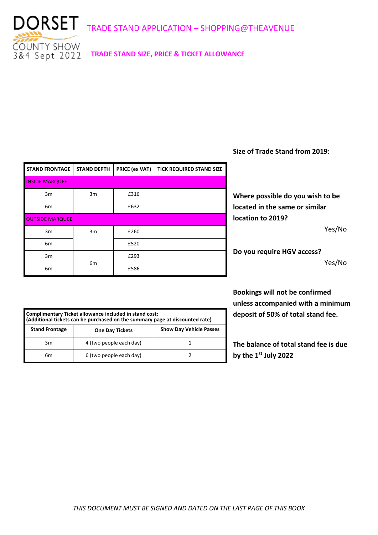

**TRADE STAND SIZE, PRICE & TICKET ALLOWANCE**

| <b>STAND FRONTAGE</b>  | <b>STAND DEPTH</b> | <b>PRICE (ex VAT)</b> | <b>TICK REQUIRED STAND SIZE</b> |
|------------------------|--------------------|-----------------------|---------------------------------|
| <b>INSIDE MARQUEE</b>  |                    |                       |                                 |
| 3m                     | 3m                 | £316                  |                                 |
| 6 <sub>m</sub>         |                    | £632                  |                                 |
| <b>OUTSIDE MARQUEE</b> |                    |                       |                                 |
| 3m                     | 3m                 | £260                  |                                 |
| 6 <sub>m</sub>         |                    | £520                  |                                 |
| 3m                     |                    | £293                  |                                 |
| 6 <sub>m</sub>         | 6 <sub>m</sub>     | £586                  |                                 |

**Size of Trade Stand from 2019:** 

**Where possible do you wish to be located in the same or similar location to 2019?** 

Yes/No

**Do you require HGV access?** Yes/No

**Bookings will not be confirmed unless accompanied with a minimum deposit of 50% of total stand fee.**

**The balance of total stand fee is due by the 1st July 2022** 

| Complimentary Ticket allowance included in stand cost:<br>(Additional tickets can be purchased on the summary page at discounted rate) |                         |                                |  |  |
|----------------------------------------------------------------------------------------------------------------------------------------|-------------------------|--------------------------------|--|--|
| <b>Stand Frontage</b>                                                                                                                  | <b>One Day Tickets</b>  | <b>Show Day Vehicle Passes</b> |  |  |
| 3m                                                                                                                                     | 4 (two people each day) |                                |  |  |
| 6m                                                                                                                                     | 6 (two people each day) |                                |  |  |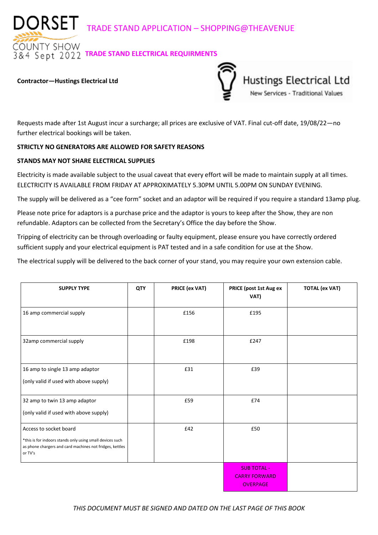DORSET TRADE STAND APPLICATION – SHOPPING@THEAVENUE

**DUNTY SHOW**  $\overline{84}$  Sept 2022 TRADE STAND ELECTRICAL REQUIRMENTS

#### **Contractor—Hustings Electrical Ltd**



Requests made after 1st August incur a surcharge; all prices are exclusive of VAT. Final cut-off date, 19/08/22—no further electrical bookings will be taken.

## **STRICTLY NO GENERATORS ARE ALLOWED FOR SAFETY REASONS**

## **STANDS MAY NOT SHARE ELECTRICAL SUPPLIES**

Electricity is made available subject to the usual caveat that every effort will be made to maintain supply at all times. ELECTRICITY IS AVAILABLE FROM FRIDAY AT APPROXIMATELY 5.30PM UNTIL 5.00PM ON SUNDAY EVENING.

The supply will be delivered as a "cee form" socket and an adaptor will be required if you require a standard 13amp plug.

Please note price for adaptors is a purchase price and the adaptor is yours to keep after the Show, they are non refundable. Adaptors can be collected from the Secretary's Office the day before the Show.

Tripping of electricity can be through overloading or faulty equipment, please ensure you have correctly ordered sufficient supply and your electrical equipment is PAT tested and in a safe condition for use at the Show.

The electrical supply will be delivered to the back corner of your stand, you may require your own extension cable.

| <b>SUPPLY TYPE</b>                                                                                                                                         | QTY | <b>PRICE (ex VAT)</b> | PRICE (post 1st Aug ex<br>VAT)                                | <b>TOTAL (ex VAT)</b> |
|------------------------------------------------------------------------------------------------------------------------------------------------------------|-----|-----------------------|---------------------------------------------------------------|-----------------------|
| 16 amp commercial supply                                                                                                                                   |     | £156                  | £195                                                          |                       |
| 32amp commercial supply                                                                                                                                    |     | £198                  | £247                                                          |                       |
| 16 amp to single 13 amp adaptor<br>(only valid if used with above supply)                                                                                  |     | £31                   | £39                                                           |                       |
| 32 amp to twin 13 amp adaptor<br>(only valid if used with above supply)                                                                                    |     | £59                   | £74                                                           |                       |
| Access to socket board<br>*this is for indoors stands only using small devices such<br>as phone chargers and card machines not fridges, kettles<br>or TV's |     | £42                   | £50                                                           |                       |
|                                                                                                                                                            |     |                       | <b>SUB TOTAL -</b><br><b>CARRY FORWARD</b><br><b>OVERPAGE</b> |                       |